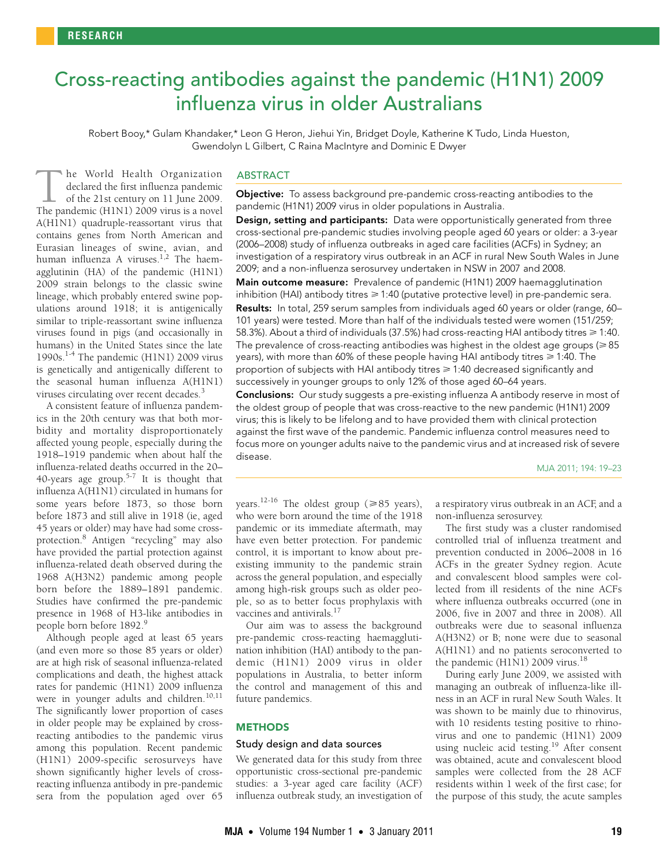# <span id="page-0-0"></span>Cross-reacting antibodies against the pandemic (H1N1) 2009 influenza virus in older Australians

Robert Booy,\* Gulam Khandaker,\* Leon G Heron, Jiehui Yin, Bridget Doyle, Katherine K Tudo, Linda Hueston, Gwendolyn L Gilbert, C Raina MacIntyre and Dominic E Dwyer

 $\frac{1}{2}$   $\frac{1}{2}$   $\frac{1}{2}$   $\frac{1}{2}$   $\frac{1}{2}$   $\frac{1}{2}$   $\frac{1}{2}$   $\frac{1}{2}$   $\frac{1}{2}$   $\frac{1}{2}$   $\frac{1}{2}$   $\frac{1}{2}$   $\frac{1}{2}$   $\frac{1}{2}$   $\frac{1}{2}$   $\frac{1}{2}$   $\frac{1}{2}$   $\frac{1}{2}$   $\frac{1}{2}$   $\frac{1}{2}$   $\frac{1}{2}$   $\frac{1}{2}$   $0.1$  Hilluctiza A viruses. The nacin agglutinin (HA) of the pandemic (H1N1) 2009 strain belongs to the classic swine lineage, which probably entered swine pophe World Health Organization declared the first influenza pandemic of the 21st century on 11 June 2009. The World Health Organization<br>declared the first influenza pandemic<br>of the 21st century on 11 June 2009.<br>The pandemic (H1N1) 2009 virus is a novel A(H1N1) quadruple-reassortant virus that contains genes from North American and Eurasian lineages of swine, avian, and human influenza A viruses.<sup>1,2</sup> The [ha](#page-0-0)[em](#page-4-4)ulations around 1918; it is antigenically similar to triple-reassortant swine influenza viruses found in pigs (and occasionally in humans) in the United States since the late [1](#page-3-0)990s.<sup>1-4</sup> The pandemic (H1N1) 2009 virus is genetically and antigenically different to the seasonal human influenza A(H1N1) viruses circulating over recent decades.<sup>[3](#page-3-3)</sup>

A consistent feature of influenza pandemics in the 20th century was that both morbidity and mortality disproportionately affected young people, especially during the 1918–1919 pandemic when about half the influenza-related deaths occurred in the 20– 40-years age group.<sup>[5](#page-3-4)-7</sup> It is thought that influenza A(H1N1) circulated in humans for some years before 1873, so those born before 1873 and still alive in 1918 (ie, aged 45 years or older) may have had some crossprotection[.8](#page-3-6) Antigen "recycling" may also have provided the partial protection against influenza-related death observed during the 1968 A(H3N2) pandemic among people born before the 1889–1891 pandemic. Studies have confirmed the pre-pandemic presence in 1968 of H3-like antibodies in people born before 1892.[9](#page-3-7)

Although people aged at least 65 years (and even more so those 85 years or older) are at high risk of seasonal influenza-related complications and death, the highest attack rates for pandemic (H1N1) 2009 influenza were in younger adults and children.<sup>[10](#page-3-8),[11](#page-3-9)</sup> The significantly lower proportion of cases in older people may be explained by crossreacting antibodies to the pandemic virus among this population. Recent pandemic (H1N1) 2009-specific serosurveys have shown significantly higher levels of crossreacting influenza antibody in pre-pandemic sera from the population aged over 65

# ABSTRACT

Objective: To assess background pre-pandemic cross-reacting antibodies to the pandemic (H1N1) 2009 virus in older populations in Australia.

Design, setting and participants: Data were opportunistically generated from three cross-sectional pre-pandemic studies involving people aged 60 years or older: a 3-year (2006–2008) study of influenza outbreaks in aged care facilities (ACFs) in Sydney; an investigation of a respiratory virus outbreak in an ACF in rural New South Wales in June 2009; and a non-influenza serosurvey undertaken in NSW in 2007 and 2008.

Main outcome measure: Prevalence of pandemic (H1N1) 2009 haemagglutination inhibition (HAI) antibody titres ≥ 1:40 (putative protective level) in pre-pandemic sera. Results: In total, 259 serum samples from individuals aged 60 years or older (range, 60-101 years) were tested. More than half of the individuals tested were women (151/259; 58.3%). About a third of individuals (37.5%) had cross-reacting HAI antibody titres  $\geqslant 1:40$ . The prevalence of cross-reacting antibodies was highest in the oldest age groups ( $\geqslant85$ years), with more than 60% of these people having HAI antibody titres  $\geq 1:40$ . The proportion of subjects with HAI antibody titres  $\geq 1:40$  decreased significantly and successively in younger groups to only 12% of those aged 60–64 years.

Conclusions: Our study suggests a pre-existing influenza A antibody reserve in most of the oldest group of people that was cross-reactive to the new pandemic (H1N1) 2009 virus; this is likely to be lifelong and to have provided them with clinical protection against the first wave of the pandemic. Pandemic influenza control measures need to focus more on younger adults naive to the pandemic virus and at increased risk of severe disease.

#### MJA 2011; 194: 19–23

years.<sup>[12-](#page-3-10)16</sup> The oldest group ( $\geq 85$  years), who were born around the time of the 1918 pandemic or its immediate aftermath, may have even better protection. For pandemic control, it is important to know about preexisting immunity to the pandemic strain across the general population, and especially among high-risk groups such as older people, so as to better focus prophylaxis with vaccines and antivirals. $17$ 

Our aim was to assess the background pre-pandemic cross-reacting haemagglutination inhibition (HAI) antibody to the pandemic (H1N1) 2009 virus in older populations in Australia, to better inform the control and management of this and future pandemics.

# **METHODS**

# Study design and data sources

We generated data for this study from three opportunistic cross-sectional pre-pandemic studies: a 3-year aged care facility (ACF) influenza outbreak study, an investigation of a respiratory virus outbreak in an ACF, and a non-influenza serosurvey.

The first study was a cluster randomised controlled trial of influenza treatment and prevention conducted in 2006–2008 in 16 ACFs in the greater Sydney region. Acute and convalescent blood samples were collected from ill residents of the nine ACFs where influenza outbreaks occurred (one in 2006, five in 2007 and three in 2008). All outbreaks were due to seasonal influenza A(H3N2) or B; none were due to seasonal A(H1N1) and no patients seroconverted to the pandemic (H1N1) 2009 virus.<sup>18</sup>

During early June 2009, we assisted with managing an outbreak of influenza-like illness in an ACF in rural New South Wales. It was shown to be mainly due to rhinovirus, with 10 residents testing positive to rhinovirus and one to pandemic (H1N1) 2009 using nucleic acid testing.<sup>19</sup> After consent was obtained, acute and convalescent blood samples were collected from the 28 ACF residents within 1 week of the first case; for the purpose of this study, the acute samples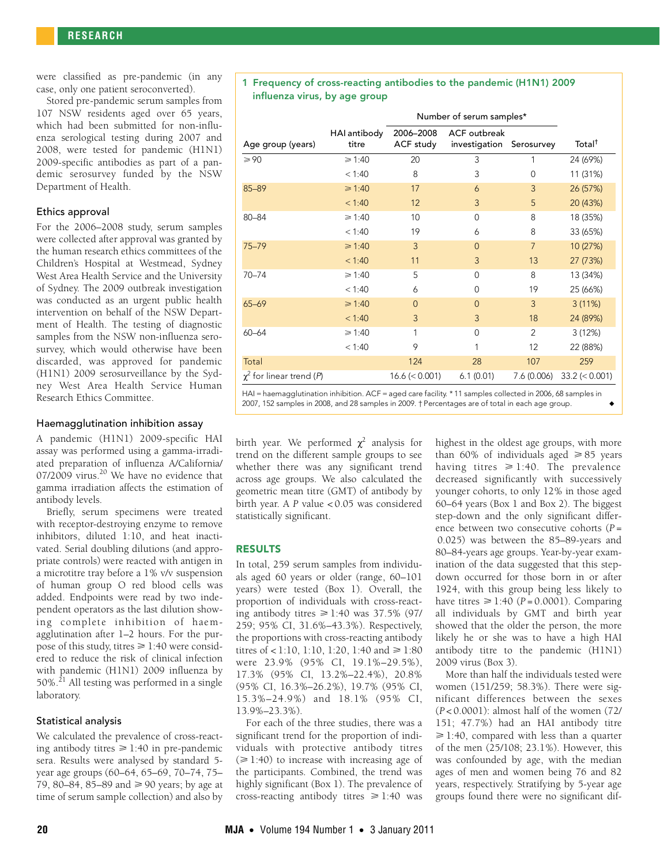were classified as pre-pandemic (in any case, only one patient seroconverted).

Stored pre-pandemic serum samples from 107 NSW residents aged over 65 years, which had been submitted for non-influenza serological testing during 2007 and 2008, were tested for pandemic (H1N1) 2009-specific antibodies as part of a pandemic serosurvey funded by the NSW Department of Health.

#### Ethics approval

For the 2006–2008 study, serum samples were collected after approval was granted by the human research ethics committees of the Children's Hospital at Westmead, Sydney West Area Health Service and the University of Sydney. The 2009 outbreak investigation was conducted as an urgent public health intervention on behalf of the NSW Department of Health. The testing of diagnostic samples from the NSW non-influenza serosurvey, which would otherwise have been discarded, was approved for pandemic (H1N1) 2009 serosurveillance by the Sydney West Area Health Service Human Research Ethics Committee.

#### Haemagglutination inhibition assay

A pandemic (H1N1) 2009-specific HAI assay was performed using a gamma-irradiated preparation of influenza A/California/ 07/2009 virus.<sup>20</sup> We have no evidence that gamma irradiation affects the estimation of antibody levels.

Briefly, serum specimens were treated with receptor-destroying enzyme to remove inhibitors, diluted 1:10, and heat inactivated. Serial doubling dilutions (and appropriate controls) were reacted with antigen in a microtitre tray before a 1% v/v suspension of human group O red blood cells was added. Endpoints were read by two independent operators as the last dilution showing complete inhibition of haemagglutination after 1–2 hours. For the purpose of this study, titres  $\geq 1:40$  were considered to reduce the risk of clinical infection with pandemic (H1N1) 2009 influenza by  $50\%$ <sup>21</sup> All testing was performed in a single laboratory.

#### Statistical analysis

We calculated the prevalence of cross-reacting antibody titres  $\geq 1:40$  in pre-pandemic sera. Results were analysed by standard 5 year age groups (60–64, 65–69, 70–74, 75– 79, 80–84, 85–89 and  $\geq 90$  years; by age at time of serum sample collection) and also by

#### 1 Frequency of cross-reacting antibodies to the pandemic (H1N1) 2009 influenza virus, by age group

|                                                                                                                                                                                                                                                                                                                                   |                       | Number of serum samples* |                                      |                |                    |
|-----------------------------------------------------------------------------------------------------------------------------------------------------------------------------------------------------------------------------------------------------------------------------------------------------------------------------------|-----------------------|--------------------------|--------------------------------------|----------------|--------------------|
| Age group (years)                                                                                                                                                                                                                                                                                                                 | HAI antibody<br>titre | 2006-2008<br>ACF study   | <b>ACF</b> outbreak<br>investigation | Serosurvey     | Total <sup>†</sup> |
| $\geqslant 90$                                                                                                                                                                                                                                                                                                                    | $\geq 1:40$           | 20                       | 3                                    | 1              | 24 (69%)           |
|                                                                                                                                                                                                                                                                                                                                   | < 1:40                | 8                        | 3                                    | 0              | 11 (31%)           |
| $85 - 89$                                                                                                                                                                                                                                                                                                                         | $\ge 1:40$            | 17                       | 6                                    | 3              | 26 (57%)           |
|                                                                                                                                                                                                                                                                                                                                   | < 1:40                | 12                       | 3                                    | 5              | 20 (43%)           |
| $80 - 84$                                                                                                                                                                                                                                                                                                                         | $\geq 1:40$           | 10                       | $\Omega$                             | 8              | 18 (35%)           |
|                                                                                                                                                                                                                                                                                                                                   | < 1:40                | 19                       | 6                                    | 8              | 33 (65%)           |
| $75 - 79$                                                                                                                                                                                                                                                                                                                         | $\ge 1:40$            | $\overline{3}$           | $\Omega$                             | $\overline{7}$ | 10 (27%)           |
|                                                                                                                                                                                                                                                                                                                                   | < 1:40                | 11                       | 3                                    | 13             | 27 (73%)           |
| $70 - 74$                                                                                                                                                                                                                                                                                                                         | $\ge 1:40$            | 5                        | $\Omega$                             | 8              | 13 (34%)           |
|                                                                                                                                                                                                                                                                                                                                   | < 1:40                | 6                        | $\Omega$                             | 19             | 25 (66%)           |
| $65 - 69$                                                                                                                                                                                                                                                                                                                         | ≥ 1:40                | $\Omega$                 | $\Omega$                             | 3              | 3(11%)             |
|                                                                                                                                                                                                                                                                                                                                   | < 1:40                | 3                        | 3                                    | 18             | 24 (89%)           |
| $60 - 64$                                                                                                                                                                                                                                                                                                                         | $\geq 1:40$           | 1                        | $\Omega$                             | $\overline{2}$ | 3(12%)             |
|                                                                                                                                                                                                                                                                                                                                   | < 1:40                | 9                        |                                      | 12             | 22 (88%)           |
| Total                                                                                                                                                                                                                                                                                                                             |                       | 124                      | 28                                   | 107            | 259                |
| $\chi^2$ for linear trend (P)<br>$\mathbf{1}$ and $\mathbf{1}$ and $\mathbf{1}$ and $\mathbf{1}$ and $\mathbf{1}$ and $\mathbf{1}$ and $\mathbf{1}$ and $\mathbf{1}$ and $\mathbf{1}$ and $\mathbf{1}$ and $\mathbf{1}$ and $\mathbf{1}$ and $\mathbf{1}$ and $\mathbf{1}$ and $\mathbf{1}$ and $\mathbf{1}$ and $\mathbf{1}$ and |                       | $16.6 \le 0.001$         | 6.1(0.01)                            | 7.6 (0.006)    | $33.2 \le 0.001$   |

HAI = haemagglutination inhibition. ACF = aged care facility. \* 11 samples collected in 2006, 68 samples in 2007, 152 samples in 2008, and 28 samples in 2009. † Percentages are of total in each age group.

birth year. We performed  $\chi^2$  analysis for trend on the different sample groups to see whether there was any significant trend across age groups. We also calculated the geometric mean titre (GMT) of antibody by birth year. A *P* value < 0.05 was considered statistically significant.

# RESULTS

In total, 259 serum samples from individuals aged 60 years or older (range, 60–101 years) were tested (Box 1). Overall, the proportion of individuals with cross-reacting antibody titres  $\geq 1:40$  was 37.5% (97/ 259; 95% CI, 31.6%–43.3%). Respectively, the proportions with cross-reacting antibody titres of  $< 1:10, 1:10, 1:20, 1:40$  and  $\ge 1:80$ were 23.9% (95% CI, 19.1%–29.5%), 17.3% (95% CI, 13.2%–22.4%), 20.8% (95% CI, 16.3%–26.2%), 19.7% (95% CI, 15.3%–24.9%) and 18.1% (95% CI, 13.9%–23.3%).

For each of the three studies, there was a significant trend for the proportion of individuals with protective antibody titres  $(\geq 1:40)$  to increase with increasing age of the participants. Combined, the trend was highly significant (Box 1). The prevalence of cross-reacting antibody titres  $\geq 1:40$  was

highest in the oldest age groups, with more than 60% of individuals aged  $\geq 85$  years having titres  $\geq 1:40$ . The prevalence decreased significantly with successively younger cohorts, to only 12% in those aged 60–64 years (Box 1 and Box 2). The biggest step-down and the only significant difference between two consecutive cohorts (*P* = 0.025) was between the 85–89-years and 80–84-years age groups. Year-by-year examination of the data suggested that this stepdown occurred for those born in or after 1924, with this group being less likely to have titres  $\geq 1:40$  ( $P = 0.0001$ ). Comparing all individuals by GMT and birth year showed that the older the person, the more likely he or she was to have a high HAI antibody titre to the pandemic (H1N1) 2009 virus (Box 3).

More than half the individuals tested were women (151/259; 58.3%). There were significant differences between the sexes (*P* < 0.0001): almost half of the women (72/ 151; 47.7%) had an HAI antibody titre  $\geq$  1:40, compared with less than a quarter of the men (25/108; 23.1%). However, this was confounded by age, with the median ages of men and women being 76 and 82 years, respectively. Stratifying by 5-year age groups found there were no significant dif-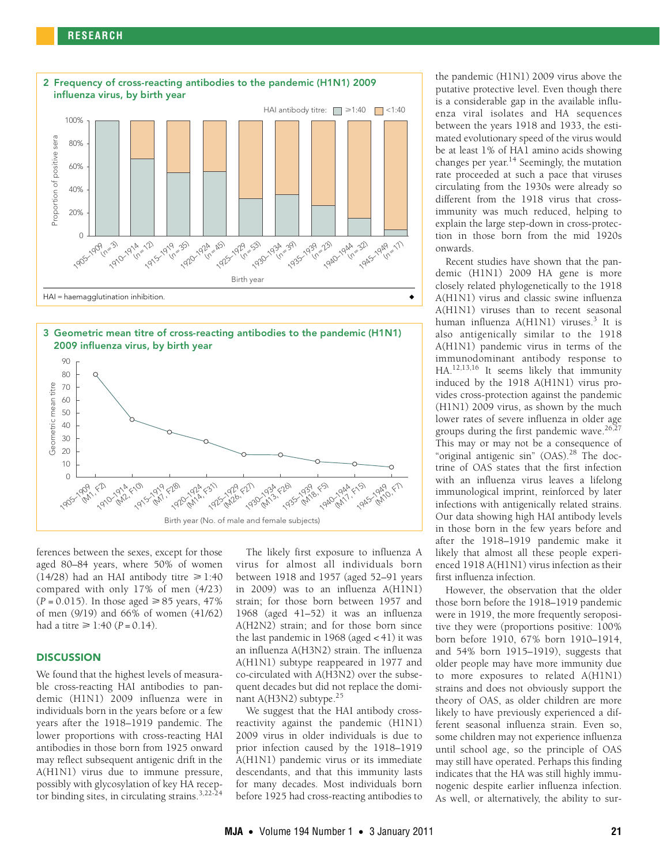# **RESEARCH**







ferences between the sexes, except for those aged 80–84 years, where 50% of women  $(14/28)$  had an HAI antibody titre  $\geq 1:40$ compared with only 17% of men (4/23)  $(P = 0.015)$ . In those aged  $\ge 85$  years, 47% of men (9/19) and 66% of women (41/62) had a titre  $\geq 1:40$  (*P* = 0.14).

# **DISCUSSION**

We found that the highest levels of measurable cross-reacting HAI antibodies to pandemic (H1N1) 2009 influenza were in individuals born in the years before or a few years after the 1918–1919 pandemic. The lower proportions with cross-reacting HAI antibodies in those born from 1925 onward may reflect subsequent antigenic drift in the A(H1N1) virus due to immune pressure, possibly with glycosylation of key HA recep-tor binding sites, in circulating strains.<sup>[3,](#page-3-3)[22](#page-4-7)-[24](#page-4-8)</sup>

The likely first exposure to influenza A virus for almost all individuals born between 1918 and 1957 (aged 52–91 years in 2009) was to an influenza A(H1N1) strain; for those born between 1957 and 1968 (aged 41–52) it was an influenza A(H2N2) strain; and for those born since the last pandemic in 1968 (aged < 41) it was an influenza A(H3N2) strain. The influenza A(H1N1) subtype reappeared in 1977 and co-circulated with A(H3N2) over the subsequent decades but did not replace the dominant A(H3N2) subtype.[25](#page-4-9)

We suggest that the HAI antibody crossreactivity against the pandemic (H1N1) 2009 virus in older individuals is due to prior infection caused by the 1918–1919 A(H1N1) pandemic virus or its immediate descendants, and that this immunity lasts for many decades. Most individuals born before 1925 had cross-reacting antibodies to

the pandemic (H1N1) 2009 virus above the putative protective level. Even though there is a considerable gap in the available influenza viral isolates and HA sequences between the years 1918 and 1933, the estimated evolutionary speed of the virus would be at least 1% of HA1 amino acids showing changes per year. $14$  Seemingly, the mutation rate proceeded at such a pace that viruses circulating from the 1930s were already so different from the 1918 virus that crossimmunity was much reduced, helping to explain the large step-down in cross-protection in those born from the mid 1920s onwards.

Recent studies have shown that the pandemic (H1N1) 2009 HA gene is more closely related phylogenetically to the 1918 A(H1N1) virus and classic swine influenza A(H1N1) viruses than to recent seasonal human influenza A(H1N1) viruses.<sup>3</sup> It is also antigenically similar to the 1918 A(H1N1) pandemic virus in terms of the immunodominant antibody response to HA[.12,](#page-3-10)[13,](#page-3-12)[16](#page-4-0) It seems likely that immunity induced by the 1918 A(H1N1) virus provides cross-protection against the pandemic (H1N1) 2009 virus, as shown by the much lower rates of severe influenza in older age groups during the first pandemic wave. $26,27$  $26,27$ This may or may not be a consequence of "original antigenic sin" (OAS).[28](#page-4-12) The doctrine of OAS states that the first infection with an influenza virus leaves a lifelong immunological imprint, reinforced by later infections with antigenically related strains. Our data showing high HAI antibody levels in those born in the few years before and after the 1918–1919 pandemic make it likely that almost all these people experienced 1918 A(H1N1) virus infection as their first influenza infection.

However, the observation that the older those born before the 1918–1919 pandemic were in 1919, the more frequently seropositive they were (proportions positive: 100% born before 1910, 67% born 1910–1914, and 54% born 1915–1919), suggests that older people may have more immunity due to more exposures to related A(H1N1) strains and does not obviously support the theory of OAS, as older children are more likely to have previously experienced a different seasonal influenza strain. Even so, some children may not experience influenza until school age, so the principle of OAS may still have operated. Perhaps this finding indicates that the HA was still highly immunogenic despite earlier influenza infection. As well, or alternatively, the ability to sur-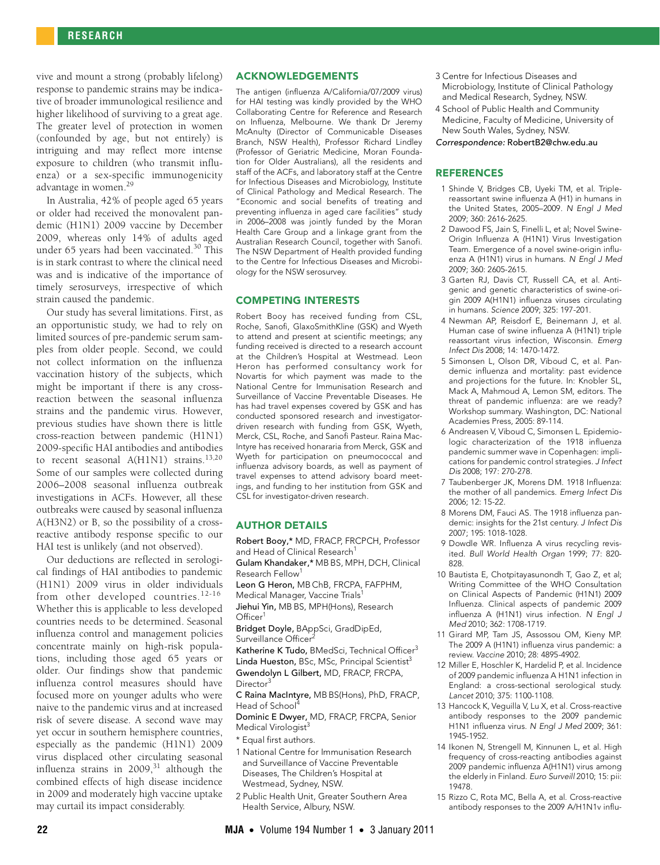vive and mount a strong (probably lifelong) response to pandemic strains may be indicative of broader immunological resilience and higher likelihood of surviving to a great age. The greater level of protection in women (confounded by age, but not entirely) is intriguing and may reflect more intense exposure to children (who transmit influenza) or a sex-specific immunogenicity advantage in women.<sup>29</sup>

In Australia, 42% of people aged 65 years or older had received the monovalent pandemic (H1N1) 2009 vaccine by December 2009, whereas only 14% of adults aged under 65 years had been vaccinated.<sup>30</sup> This is in stark contrast to where the clinical need was and is indicative of the importance of timely serosurveys, irrespective of which strain caused the pandemic.

Our study has several limitations. First, as an opportunistic study, we had to rely on limited sources of pre-pandemic serum samples from older people. Second, we could not collect information on the influenza vaccination history of the subjects, which might be important if there is any crossreaction between the seasonal influenza strains and the pandemic virus. However, previous studies have shown there is little cross-reaction between pandemic (H1N1) 2009-specific HAI antibodies and antibodies to recent seasonal A(H1N1) strains.<sup>[13](#page-3-12),[20](#page-4-5)</sup> Some of our samples were collected during 2006–2008 seasonal influenza outbreak investigations in ACFs. However, all these outbreaks were caused by seasonal influenza A(H3N2) or B, so the possibility of a crossreactive antibody response specific to our HAI test is unlikely (and not observed).

Our deductions are reflected in serological findings of HAI antibodies to pandemic (H1N1) 2009 virus in older individuals from other developed countries.<sup>[12-](#page-3-10)[16](#page-4-0)</sup> Whether this is applicable to less developed countries needs to be determined. Seasonal influenza control and management policies concentrate mainly on high-risk populations, including those aged 65 years or older. Our findings show that pandemic influenza control measures should have focused more on younger adults who were naive to the pandemic virus and at increased risk of severe disease. A second wave may yet occur in southern hemisphere countries, especially as the pandemic (H1N1) 2009 virus displaced other circulating seasonal influenza strains in  $2009$ ,<sup>31</sup> although the combined effects of high disease incidence in 2009 and moderately high vaccine uptake may curtail its impact considerably.

# ACKNOWLEDGEMENTS

The antigen (influenza A/California/07/2009 virus) for HAI testing was kindly provided by the WHO Collaborating Centre for Reference and Research on Influenza, Melbourne. We thank Dr Jeremy McAnulty (Director of Communicable Diseases Branch, NSW Health), Professor Richard Lindley (Professor of Geriatric Medicine, Moran Foundation for Older Australians), all the residents and staff of the ACFs, and laboratory staff at the Centre for Infectious Diseases and Microbiology, Institute of Clinical Pathology and Medical Research. The "Economic and social benefits of treating and preventing influenza in aged care facilities" study in 2006–2008 was jointly funded by the Moran Health Care Group and a linkage grant from the Australian Research Council, together with Sanofi. The NSW Department of Health provided funding to the Centre for Infectious Diseases and Microbiology for the NSW serosurvey.

# COMPETING INTERESTS

Robert Booy has received funding from CSL, Roche, Sanofi, GlaxoSmithKline (GSK) and Wyeth to attend and present at scientific meetings; any funding received is directed to a research account at the Children's Hospital at Westmead. Leon Heron has performed consultancy work for Novartis for which payment was made to the National Centre for Immunisation Research and Surveillance of Vaccine Preventable Diseases. He has had travel expenses covered by GSK and has conducted sponsored research and investigatordriven research with funding from GSK, Wyeth, Merck, CSL, Roche, and Sanofi Pasteur. Raina Mac-Intyre has received honararia from Merck, GSK and Wyeth for participation on pneumococcal and influenza advisory boards, as well as payment of travel expenses to attend advisory board meetings, and funding to her institution from GSK and CSL for investigator-driven research.

#### AUTHOR DETAILS

Robert Booy,\* MD, FRACP, FRCPCH, Professor and Head of Clinical Research<sup>1</sup>

Gulam Khandaker,\* MB BS, MPH, DCH, Clinical Research Fellow<sup>1</sup>

Leon G Heron, MB ChB, FRCPA, FAFPHM, Medical Manager, Vaccine Trials<sup>1</sup> Jiehui Yin, MB BS, MPH(Hons), Research Officer<sup>1</sup>

Bridget Doyle, BAppSci, GradDipEd, Surveillance Officer

Katherine K Tudo, BMedSci, Technical Officer<sup>3</sup> Linda Hueston, BSc, MSc, Principal Scientist<sup>3</sup> Gwendolyn L Gilbert, MD, FRACP, FRCPA, Director

C Raina MacIntyre, MB BS(Hons), PhD, FRACP, Head of School<sup>4</sup>

Dominic E Dwyer, MD, FRACP, FRCPA, Senior Medical Virologist<sup>3</sup>

- \* Equal first authors.
- 1 National Centre for Immunisation Research and Surveillance of Vaccine Preventable Diseases, The Children's Hospital at Westmead, Sydney, NSW.
- 2 Public Health Unit, Greater Southern Area Health Service, Albury, NSW.
- 3 Centre for Infectious Diseases and Microbiology, Institute of Clinical Pathology and Medical Research, Sydney, NSW.
- 4 School of Public Health and Community Medicine, Faculty of Medicine, University of New South Wales, Sydney, NSW.

Correspondence: RobertB2@chw.edu.au

### **REFERENCES**

- <span id="page-3-0"></span>1 Shinde V, Bridges CB, Uyeki TM, et al. Triplereassortant swine influenza A (H1) in humans in the United States, 2005–2009. N Engl J Med 2009; 360: 2616-2625.
- <span id="page-3-1"></span>2 Dawood FS, Jain S, Finelli L, et al; Novel Swine-Origin Influenza A (H1N1) Virus Investigation Team. Emergence of a novel swine-origin influenza A (H1N1) virus in humans. N Engl J Med 2009; 360: 2605-2615.
- <span id="page-3-3"></span>3 Garten RJ, Davis CT, Russell CA, et al. Antigenic and genetic characteristics of swine-origin 2009 A(H1N1) influenza viruses circulating in humans. Science 2009; 325: 197-201.
- <span id="page-3-2"></span>4 Newman AP, Reisdorf E, Beinemann J, et al. Human case of swine influenza A (H1N1) triple reassortant virus infection, Wisconsin. Emerg Infect Dis 2008; 14: 1470-1472.
- <span id="page-3-4"></span>5 Simonsen L, Olson DR, Viboud C, et al. Pandemic influenza and mortality: past evidence and projections for the future. In: Knobler SL, Mack A, Mahmoud A, Lemon SM, editors. The threat of pandemic influenza: are we ready? Workshop summary. Washington, DC: National Academies Press, 2005: 89-114.
- 6 Andreasen V, Viboud C, Simonsen L. Epidemiologic characterization of the 1918 influenza pandemic summer wave in Copenhagen: implications for pandemic control strategies. J Infect Dis 2008; 197: 270-278.
- <span id="page-3-5"></span>7 Taubenberger JK, Morens DM. 1918 Influenza: the mother of all pandemics. Emerg Infect Dis 2006; 12: 15-22.
- <span id="page-3-6"></span>8 Morens DM, Fauci AS. The 1918 influenza pandemic: insights for the 21st century. J Infect Dis 2007; 195: 1018-1028.
- <span id="page-3-7"></span>9 Dowdle WR. Influenza A virus recycling revisited. Bull World Health Organ 1999; 77: 820- 828.
- <span id="page-3-8"></span>10 Bautista E, Chotpitayasunondh T, Gao Z, et al; Writing Committee of the WHO Consultation on Clinical Aspects of Pandemic (H1N1) 2009 Influenza. Clinical aspects of pandemic 2009 influenza A (H1N1) virus infection. N Engl J Med 2010; 362: 1708-1719.
- <span id="page-3-9"></span>11 Girard MP, Tam JS, Assossou OM, Kieny MP. The 2009 A (H1N1) influenza virus pandemic: a review. Vaccine 2010; 28: 4895-4902.
- <span id="page-3-10"></span>12 Miller E, Hoschler K, Hardelid P, et al. Incidence of 2009 pandemic influenza A H1N1 infection in England: a cross-sectional serological study. Lancet 2010; 375: 1100-1108.
- <span id="page-3-12"></span>13 Hancock K, Veguilla V, Lu X, et al. Cross-reactive antibody responses to the 2009 pandemic H1N1 influenza virus. N Engl J Med 2009; 361: 1945-1952.
- <span id="page-3-11"></span>14 Ikonen N, Strengell M, Kinnunen L, et al. High frequency of cross-reacting antibodies against 2009 pandemic influenza A(H1N1) virus among the elderly in Finland. Euro Surveill 2010; 15: pii: 19478.
- 15 Rizzo C, Rota MC, Bella A, et al. Cross-reactive antibody responses to the 2009 A/H1N1v influ-